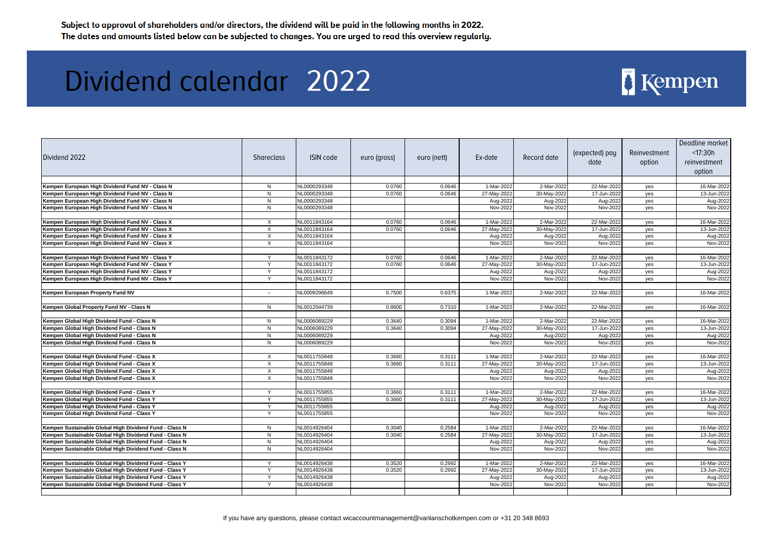| Dividend 2022                                          | <b>Shareclass</b> | <b>ISIN code</b> | euro (gross) | euro (nett) | Ex-date     | Record date | (expected) pay<br>date | Reinvestment<br>option | Deadline market<br>< 17:30h<br>reinvestment<br>option |
|--------------------------------------------------------|-------------------|------------------|--------------|-------------|-------------|-------------|------------------------|------------------------|-------------------------------------------------------|
| Kempen European High Dividend Fund NV - Class N        | N                 | NL0000293348     | 0.0760       | 0.0646      | 1-Mar-2022  | 2-Mar-2022  | 22-Mar-2022            |                        | 16-Mar-2022                                           |
| Kempen European High Dividend Fund NV - Class N        | N                 | NL0000293348     | 0.0760       | 0.0646      | 27-May-2022 | 30-May-2022 | 17-Jun-2022            | yes<br>yes             | 13-Jun-2022                                           |
| Kempen European High Dividend Fund NV - Class N        | N                 | NL0000293348     |              |             | Aug-2022    | Aug-2022    | Aug-2022               | yes                    | Aug-2022                                              |
| Kempen European High Dividend Fund NV - Class N        | N                 | NL0000293348     |              |             | Nov-2022    | Nov-2022    | Nov-2022               | yes                    | Nov-2022                                              |
|                                                        |                   |                  |              |             |             |             |                        |                        |                                                       |
| Kempen European High Dividend Fund NV - Class X        | $\times$          | NL0011843164     | 0.0760       | 0.0646      | 1-Mar-2022  | 2-Mar-2022  | 22-Mar-2022            | yes                    | 16-Mar-2022                                           |
| Kempen European High Dividend Fund NV - Class X        | X                 | NL0011843164     | 0.0760       | 0.0646      | 27-May-2022 | 30-May-2022 | 17-Jun-2022            | yes                    | 13-Jun-2022                                           |
| Kempen European High Dividend Fund NV - Class X        | X                 | NL0011843164     |              |             | Aug-2022    | Aug-2022    | Aug-2022               | yes                    | Aug-2022                                              |
| Kempen European High Dividend Fund NV - Class X        | Χ                 | NL0011843164     |              |             | Nov-2022    | Nov-2022    | Nov-2022               | yes                    | Nov-2022                                              |
| Kempen European High Dividend Fund NV - Class Y        | $\vee$            | NL0011843172     | 0.0760       | 0.0646      | 1-Mar-2022  | 2-Mar-2022  | 22-Mar-2022            | yes                    | 16-Mar-2022                                           |
| Kempen European High Dividend Fund NV - Class Y        |                   | NL0011843172     | 0.0760       | 0.0646      | 27-May-2022 | 30-May-2022 | 17-Jun-2022            | yes                    | 13-Jun-2022                                           |
| Kempen European High Dividend Fund NV - Class Y        |                   | NL0011843172     |              |             | Aug-2022    | Aug-2022    | Aug-2022               | yes                    | Aug-2022                                              |
| Kempen European High Dividend Fund NV - Class Y        | Y                 | NL0011843172     |              |             | Nov-2022    | Nov-2022    | Nov-2022               | yes                    | Nov-2022                                              |
|                                                        |                   |                  |              |             |             |             |                        |                        |                                                       |
| Kempen European Property Fund NV                       | $\sim$            | NL0009296649     | 0.7500       | 0.6375      | 1-Mar-2022  | 2-Mar-2022  | 22-Mar-2022            | yes                    | 16-Mar-2022                                           |
| Kempen Global Property Fund NV - Class N               | N                 | NL0012044739     | 0.8600       | 0.7310      | 1-Mar-2022  | 2-Mar-2022  | 22-Mar-2022            | yes                    | 16-Mar-2022                                           |
| Kempen Global High Dividend Fund - Class N             | N.                | NL0006089229     | 0.3640       | 0.3094      | 1-Mar-2022  | 2-Mar-2022  | 22-Mar-2022            | yes                    | 16-Mar-2022                                           |
| Kempen Global High Dividend Fund - Class N             | N                 | NL0006089229     | 0.3640       | 0.3094      | 27-May-2022 | 30-May-2022 | 17-Jun-2022            | yes                    | 13-Jun-2022                                           |
| Kempen Global High Dividend Fund - Class N             | $\mathsf{N}$      | NL0006089229     |              |             | Aug-2022    | Aug-2022    | Aug-2022               | yes                    | Aug-2022                                              |
| Kempen Global High Dividend Fund - Class N             | N                 | NL0006089229     |              |             | Nov-2022    | Nov-2022    | Nov-2022               | yes                    | Nov-2022                                              |
|                                                        |                   |                  |              |             |             |             |                        |                        |                                                       |
| Kempen Global High Dividend Fund - Class X             | $\times$          | NL0011755848     | 0.3660       | 0.3111      | 1-Mar-2022  | 2-Mar-2022  | 22-Mar-2022            | yes                    | 16-Mar-2022                                           |
| Kempen Global High Dividend Fund - Class X             | X                 | NL0011755848     | 0.3660       | 0.3111      | 27-May-2022 | 30-May-2022 | 17-Jun-2022            | yes                    | 13-Jun-2022                                           |
| Kempen Global High Dividend Fund - Class X             | $\times$          | NL0011755848     |              |             | Aug-2022    | Aug-2022    | Aug-2022               | yes                    | Aug-2022                                              |
| Kempen Global High Dividend Fund - Class X             | X                 | NL0011755848     |              |             | Nov-2022    | Nov-2022    | Nov-2022               | yes                    | Nov-2022                                              |
| Kempen Global High Dividend Fund - Class Y             |                   | NL0011755855     | 0.3660       | 0.3111      | 1-Mar-2022  | 2-Mar-2022  | 22-Mar-2022            | yes                    | 16-Mar-2022                                           |
| Kempen Global High Dividend Fund - Class Y             | Y                 | NL0011755855     | 0.3660       | 0.3111      | 27-May-2022 | 30-May-2022 | 17-Jun-2022            | yes                    | 13-Jun-2022                                           |
| Kempen Global High Dividend Fund - Class Y             | Y                 | NL0011755855     |              |             | Aug-2022    | Aug-2022    | Aug-2022               | yes                    | Aug-2022                                              |
| Kempen Global High Dividend Fund - Class Y             | Y                 | NL0011755855     |              |             | Nov-2022    | Nov-2022    | Nov-2022               | yes                    | Nov-2022                                              |
|                                                        |                   |                  |              |             |             |             |                        |                        |                                                       |
| Kempen Sustainable Global High Dividend Fund - Class N | N                 | NL0014926404     | 0.3040       | 0.2584      | 1-Mar-2022  | 2-Mar-2022  | 22-Mar-2022            | yes                    | 16-Mar-2022                                           |
| Kempen Sustainable Global High Dividend Fund - Class N | N.                | NL0014926404     | 0.3040       | 0.2584      | 27-May-2022 | 30-May-2022 | 17-Jun-2022            | yes                    | 13-Jun-2022                                           |
| Kempen Sustainable Global High Dividend Fund - Class N | N                 | NL0014926404     |              |             | Aug-2022    | Aug-2022    | Aug-2022               | yes                    | Aug-2022                                              |
| Kempen Sustainable Global High Dividend Fund - Class N | ${\sf N}$         | NL0014926404     |              |             | Nov-2022    | Nov-2022    | Nov-2022               | yes                    | Nov-2022                                              |
|                                                        |                   |                  |              |             |             |             |                        |                        |                                                       |
| Kempen Sustainable Global High Dividend Fund - Class Y |                   | NL0014926438     | 0.3520       | 0.2992      | 1-Mar-2022  | 2-Mar-2022  | 22-Mar-2022            | yes                    | 16-Mar-2022                                           |
| Kempen Sustainable Global High Dividend Fund - Class Y | ∨                 | NL0014926438     | 0.3520       | 0.2992      | 27-May-2022 | 30-May-2022 | 17-Jun-2022            | yes                    | 13-Jun-2022                                           |
| Kempen Sustainable Global High Dividend Fund - Class Y |                   | NL0014926438     |              |             | Aug-2022    | Aug-2022    | Aug-2022               | yes                    | Aug-2022                                              |
| Kempen Sustainable Global High Dividend Fund - Class Y | Y                 | NL0014926438     |              |             | Nov-2022    | Nov-2022    | Nov-2022               | yes                    | Nov-2022                                              |

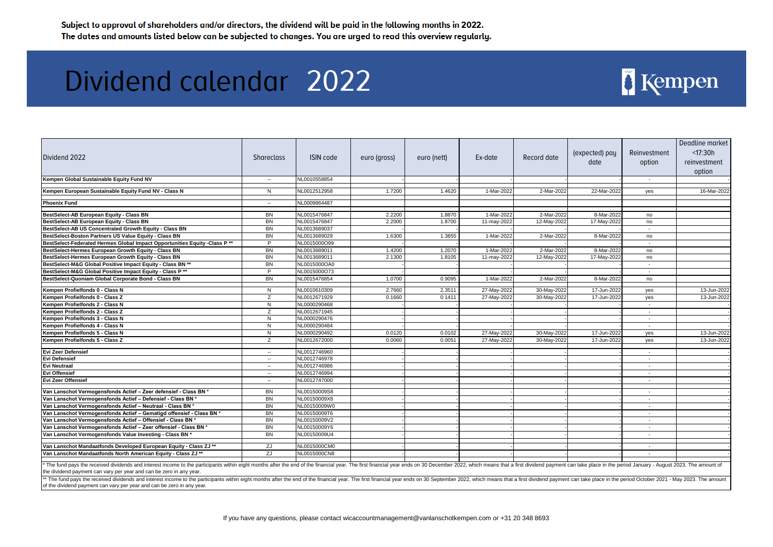| Dividend 2022                                                                                                                                                                                                                                                                                            | <b>Shareclass</b> | <b>ISIN code</b> | euro (gross) | euro (nett) | Ex-date     | Record date | (expected) pay<br>date | Reinvestment<br>option | Deadline market<br>< 17:30h<br>reinvestment<br>option |
|----------------------------------------------------------------------------------------------------------------------------------------------------------------------------------------------------------------------------------------------------------------------------------------------------------|-------------------|------------------|--------------|-------------|-------------|-------------|------------------------|------------------------|-------------------------------------------------------|
| Kempen Global Sustainable Equity Fund NV                                                                                                                                                                                                                                                                 | $\sim$            | NL0010558854     |              |             |             |             |                        |                        |                                                       |
| Kempen European Sustainable Equity Fund NV - Class N                                                                                                                                                                                                                                                     | N                 | NL0012512958     | 1.7200       | 1.4620      | 1-Mar-2022  | 2-Mar-2022  | 22-Mar-2022            | yes                    | 16-Mar-2022                                           |
|                                                                                                                                                                                                                                                                                                          |                   |                  |              |             |             |             |                        |                        |                                                       |
| <b>Phoenix Fund</b>                                                                                                                                                                                                                                                                                      | $\sim$            | NL0009864487     |              |             |             |             |                        |                        |                                                       |
| BestSelect-AB European Equity - Class BN                                                                                                                                                                                                                                                                 | <b>BN</b>         | NL0015476847     | 2.2200       | 1.8870      | 1-Mar-2022  | 2-Mar-2022  | 8-Mar-2022             | no                     |                                                       |
| BestSelect-AB European Equity - Class BN                                                                                                                                                                                                                                                                 | <b>BN</b>         | NL0015476847     | 2.2000       | 1.8700      | 11-may-2022 | 12-May-2022 | 17-May-2022            | no                     |                                                       |
| BestSelect-AB US Concentrated Growth Equity - Class BN                                                                                                                                                                                                                                                   | BN                | NL0013689037     |              |             |             |             |                        | $\sim$                 |                                                       |
| BestSelect-Boston Partners US Value Equity - Class BN                                                                                                                                                                                                                                                    | BN                | NL0013689029     | 1.6300       | 1.3855      | 1-Mar-2022  | 2-Mar-2022  | 8-Mar-2022             | no                     |                                                       |
| BestSelect-Federated Hermes Global Impact Opportunities Equity -Class P **                                                                                                                                                                                                                               | P                 | NL0015000O99     |              |             |             |             |                        | $\sim$                 |                                                       |
| BestSelect-Hermes European Growth Equity - Class BN                                                                                                                                                                                                                                                      | BN                | NL0013689011     | 1.4200       | 1.2070      | 1-Mar-2022  | 2-Mar-2022  | 8-Mar-2022             | no                     |                                                       |
| BestSelect-Hermes European Growth Equity - Class BN                                                                                                                                                                                                                                                      | BN                | NL0013689011     | 2.1300       | 1.8105      | 11-may-2022 | 12-May-2022 | 17-May-2022            | no                     |                                                       |
| BestSelect-M&G Global Positive Impact Equity - Class BN **                                                                                                                                                                                                                                               | BN                | NL0015000OA0     |              |             |             |             |                        | $\sim$                 |                                                       |
| BestSelect-M&G Global Positive Impact Equity - Class P **                                                                                                                                                                                                                                                | P                 | NL0015000O73     |              |             |             |             |                        | $\sim$                 |                                                       |
| BestSelect-Quoniam Global Corporate Bond - Class BN                                                                                                                                                                                                                                                      | <b>BN</b>         | NL0015476854     | 1.0700       | 0.9095      | 1-Mar-2022  | 2-Mar-2022  | 8-Mar-2022             | no                     |                                                       |
| Kempen Profielfonds 0 - Class N                                                                                                                                                                                                                                                                          | N                 | NL0010610309     | 2.7660       | 2.3511      | 27-May-2022 | 30-May-2022 | 17-Jun-2022            | yes                    | 13-Jun-2022                                           |
| Kempen Profielfonds 0 - Class Z                                                                                                                                                                                                                                                                          | Ζ                 | NL0012671929     | 0.1660       | 0.1411      | 27-May-2022 | 30-May-2022 | 17-Jun-2022            | yes                    | 13-Jun-2022                                           |
| Kempen Profielfonds 2 - Class N                                                                                                                                                                                                                                                                          | N                 | NL0000290468     |              |             |             |             |                        | $\sim$                 |                                                       |
| Kempen Profielfonds 2 - Class Z                                                                                                                                                                                                                                                                          | Z                 | NL0012671945     |              |             |             |             |                        | $\sim$                 |                                                       |
| Kempen Profielfonds 3 - Class N                                                                                                                                                                                                                                                                          | N                 | NL0000290476     |              |             |             |             |                        | $\sim$                 |                                                       |
| Kempen Profielfonds 4 - Class N                                                                                                                                                                                                                                                                          | N                 | NL0000290484     |              |             |             |             |                        | $\sim$                 |                                                       |
| Kempen Profielfonds 5 - Class N                                                                                                                                                                                                                                                                          | N                 | NL0000290492     | 0.0120       | 0.0102      | 27-May-2022 | 30-May-2022 | 17-Jun-2022            | yes                    | 13-Jun-2022                                           |
| Kempen Profielfonds 5 - Class Z                                                                                                                                                                                                                                                                          | Z                 | NL0012672000     | 0.0060       | 0.0051      | 27-May-2022 | 30-May-2022 | 17-Jun-2022            | yes                    | 13-Jun-2022                                           |
| Evi Zeer Defensief                                                                                                                                                                                                                                                                                       | $\sim$            | NL0012746960     |              |             |             |             |                        | $\sim$                 |                                                       |
| <b>Evi Defensief</b>                                                                                                                                                                                                                                                                                     | $\sim$            | NL0012746978     |              |             |             |             |                        | $\sim$                 |                                                       |
| <b>Evi Neutraal</b>                                                                                                                                                                                                                                                                                      | $\sim$ $\sim$     | NL0012746986     |              |             |             |             |                        |                        |                                                       |
| <b>Evi Offensief</b>                                                                                                                                                                                                                                                                                     | $\sim$            | NL0012746994     |              |             |             |             |                        | $\sim$                 |                                                       |
| Evi Zeer Offensief                                                                                                                                                                                                                                                                                       | $\sim$            | NL0012747000     |              |             |             |             |                        | $\sim$                 |                                                       |
| Van Lanschot Vermogensfonds Actief - Zeer defensief - Class BN *                                                                                                                                                                                                                                         | BN                | NL00150009S8     |              |             |             |             |                        | $\sim$                 |                                                       |
| Van Lanschot Vermogensfonds Actief - Defensief - Class BN *                                                                                                                                                                                                                                              | <b>BN</b>         | NL00150009X8     |              |             |             |             |                        | $\sim$                 |                                                       |
| Van Lanschot Vermogensfonds Actief - Neutraal - Class BN *                                                                                                                                                                                                                                               | BN                | NL00150009W0     |              |             |             |             |                        | $\sim$                 |                                                       |
| Van Lanschot Vermogensfonds Actief - Gematigd offensief - Class BN *                                                                                                                                                                                                                                     | BN                | NL00150009T6     |              |             |             |             |                        |                        |                                                       |
| Van Lanschot Vermogensfonds Actief - Offensief - Class BN *                                                                                                                                                                                                                                              | <b>BN</b>         | NL00150009V2     |              |             |             |             |                        |                        |                                                       |
| Van Lanschot Vermogensfonds Actief - Zeer offensief - Class BN *                                                                                                                                                                                                                                         | <b>BN</b>         | NL00150009Y6     |              |             |             |             |                        |                        |                                                       |
| Van Lanschot Vermogensfonds Value Investing - Class BN *                                                                                                                                                                                                                                                 | BN                | NL00150009U4     |              |             |             |             |                        | $\sim$                 |                                                       |
|                                                                                                                                                                                                                                                                                                          |                   |                  |              |             |             |             |                        |                        |                                                       |
| Van Lanschot Mandaatfonds Developed European Equity - Class ZJ **                                                                                                                                                                                                                                        | ZJ                | NL0015000CM0     |              |             |             |             |                        | $\sim$                 |                                                       |
| Van Lanschot Mandaatfonds North American Equity - Class ZJ **                                                                                                                                                                                                                                            | ZJ                | NL0015000CN8     |              |             |             |             |                        | $\sim$                 |                                                       |
| The fund pays the received dividends and interest income to the participants within eight months after the end of the financial year. The first financial year ends on 30 December 2022, which means that a first dividend pay<br>the dividend payment can vary per year and can be zero in any year.    |                   |                  |              |             |             |             |                        |                        |                                                       |
| ** The fund pays the received dividends and interest income to the participants within eight months after the end of the financial year. The first financial year ends on 30 September 2022, which means that a first dividend<br>of the dividend payment can vary per year and can be zero in any year. |                   |                  |              |             |             |             |                        |                        |                                                       |

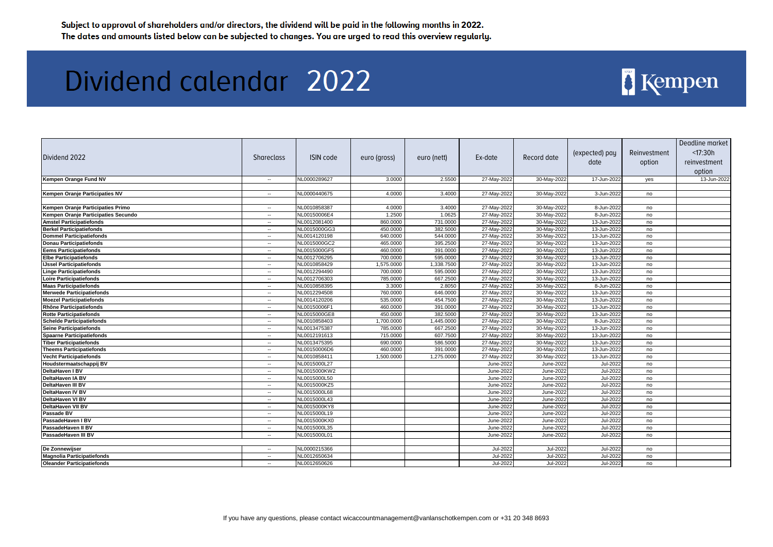| Dividend 2022                       | Shareclass     | <b>ISIN code</b> | euro (gross) | euro (nett) | Ex-date          | Record date      | (expected) pay<br>date | Reinvestment<br>option | Deadline market<br>< 17:30h<br>reinvestment<br>option |
|-------------------------------------|----------------|------------------|--------------|-------------|------------------|------------------|------------------------|------------------------|-------------------------------------------------------|
| Kempen Orange Fund NV               | $\sim$         | NL0000289627     | 3.0000       | 2.5500      | 27-May-2022      | 30-May-2022      | 17-Jun-2022            | yes                    | 13-Jun-2022                                           |
|                                     |                |                  |              |             |                  |                  |                        |                        |                                                       |
| Kempen Oranje Participaties NV      | $\sim$         | NL0000440675     | 4.0000       | 3.4000      | 27-May-2022      | 30-May-2022      | 3-Jun-2022             | no                     |                                                       |
|                                     |                |                  |              |             |                  |                  |                        |                        |                                                       |
| Kempen Oranje Participaties Primo   | $\sim$         | NL0010858387     | 4.0000       | 3.4000      | 27-May-2022      | 30-May-2022      | 8-Jun-2022             | no                     |                                                       |
| Kempen Oranje Participaties Secundo | $\sim$         | NL00150006E4     | 1.2500       | 1.0625      | 27-May-2022      | 30-May-2022      | 8-Jun-2022             | no                     |                                                       |
| <b>Amstel Participatiefonds</b>     | $\mathbf{e}$ . | NL0012081400     | 860.0000     | 731.0000    | 27-May-2022      | 30-May-2022      | 13-Jun-2022            | no                     |                                                       |
| <b>Berkel Participatiefonds</b>     | $\sim$         | NL0015000GG3     | 450.0000     | 382.5000    | 27-May-2022      | 30-May-2022      | 13-Jun-2022            | no                     |                                                       |
| <b>Dommel Participatiefonds</b>     | $\sim$         | NL0014120198     | 640.0000     | 544.0000    | 27-May-2022      | 30-May-2022      | 13-Jun-2022            | no                     |                                                       |
| <b>Donau Participatiefonds</b>      | $\sim$         | NL0015000GC2     | 465.0000     | 395.2500    | 27-May-2022      | 30-May-2022      | 13-Jun-2022            | no                     |                                                       |
| <b>Eems Participatiefonds</b>       | $\sim$         | NL0015000GF5     | 460.0000     | 391.0000    | 27-May-2022      | 30-May-2022      | 13-Jun-2022            | no                     |                                                       |
| <b>Elbe Participatiefonds</b>       | $\sim$         | NL0012706295     | 700.0000     | 595.0000    | 27-May-2022      | 30-May-2022      | 13-Jun-2022            | no                     |                                                       |
| <b>IJssel Participatiefonds</b>     | $\sim$         | NL0010858429     | 1,575.0000   | 1,338.7500  | 27-May-2022      | 30-May-2022      | 13-Jun-2022            | no                     |                                                       |
| <b>Linge Participatiefonds</b>      | $\sim$         | NL0012294490     | 700.0000     | 595.0000    | 27-May-2022      | 30-May-2022      | 13-Jun-2022            | no                     |                                                       |
| <b>Loire Participatiefonds</b>      | $\sim$         | NL0012706303     | 785.0000     | 667.2500    | 27-May-2022      | 30-May-2022      | 13-Jun-2022            | no                     |                                                       |
| <b>Maas Participatiefonds</b>       | $\sim$         | NL0010858395     | 3.3000       | 2.8050      | 27-May-2022      | 30-May-2022      | 8-Jun-2022             | no                     |                                                       |
| <b>Merwede Participatiefonds</b>    | $\sim$         | NL0012294508     | 760.0000     | 646.0000    | 27-May-2022      | 30-May-2022      | 13-Jun-2022            | no                     |                                                       |
| <b>Moezel Participatiefonds</b>     | $\sim$         | NL0014120206     | 535.0000     | 454.7500    | 27-May-2022      | 30-May-2022      | 13-Jun-2022            | no                     |                                                       |
| Rhône Participatiefonds             | $\mathbf{e}$ . | NL00150006F1     | 460.0000     | 391.0000    | 27-May-2022      | 30-May-2022      | 13-Jun-2022            | no                     |                                                       |
| <b>Rotte Participatiefonds</b>      | $\sim$         | NL0015000GE8     | 450.0000     | 382.5000    | 27-May-2022      | 30-May-2022      | 13-Jun-2022            | no                     |                                                       |
| <b>Schelde Participatiefonds</b>    | $\sim$         | NL0010858403     | 1,700.0000   | 1,445.0000  | 27-May-2022      | 30-May-2022      | 8-Jun-2022             | no                     |                                                       |
| <b>Seine Participatiefonds</b>      | $\sim$         | NL0013475387     | 785.0000     | 667.2500    | 27-May-2022      | 30-May-2022      | 13-Jun-2022            | no                     |                                                       |
| <b>Spaarne Participatiefonds</b>    | $\mathbf{e}$ . | NL0012191613     | 715.0000     | 607.7500    | 27-May-2022      | 30-May-2022      | 13-Jun-2022            | no                     |                                                       |
| <b>Tiber Participatiefonds</b>      | $\sim$         | NL0013475395     | 690.0000     | 586.5000    | 27-May-2022      | 30-May-2022      | 13-Jun-2022            | no                     |                                                       |
| <b>Theems Participatiefonds</b>     | $\sim$         | NL00150006D6     | 460.0000     | 391.0000    | 27-May-2022      | 30-May-2022      | 13-Jun-2022            | no                     |                                                       |
| <b>Vecht Participatiefonds</b>      | $\mathbf{e}$ . | NL0010858411     | 1,500.0000   | 1,275.0000  | 27-May-2022      | 30-May-2022      | 13-Jun-2022            | no                     |                                                       |
| Houdstermaatschappij BV             | $\sim$         | NL0015000L27     |              |             | June-2022        | <b>June-2022</b> | <b>Jul-2022</b>        | no                     |                                                       |
| DeltaHaven I BV                     | $\mathbf{e}$ . | NL0015000KW2     |              |             | June-202         | <b>June-2022</b> | Jul-2022               | no                     |                                                       |
| <b>DeltaHaven IA BV</b>             | $\sim$         | NL0015000L50     |              |             | June-2022        | June-2022        | Jul-2022               | no                     |                                                       |
| <b>DeltaHaven III BV</b>            | $\sim$         | NL0015000KZ5     |              |             | June-2022        | June-2022        | Jul-2022               | no                     |                                                       |
| DeltaHaven IV BV                    | $\sim$         | NL0015000L68     |              |             | June-2022        | <b>June-2022</b> | Jul-2022               | no                     |                                                       |
| <b>DeltaHaven VI BV</b>             | $\sim$         | NL0015000L43     |              |             | June-2022        | June-2022        | Jul-2022               | no                     |                                                       |
| DeltaHaven VII BV                   | $\sim$         | NL0015000KY8     |              |             | June-202         | June-2022        | Jul-2022               | no                     |                                                       |
| Passade BV                          | $\sim$         | NL0015000L19     |              |             | June-202         | <b>June-2022</b> | Jul-2022               | no                     |                                                       |
| PassadeHaven I BV                   | $\sim$         | NL0015000KX0     |              |             | <b>June-2022</b> | June-2022        | Jul-2022               | no                     |                                                       |
| PassadeHaven II BV                  | $\sim$         | NL0015000L35     |              |             | June-202         | <b>June-2022</b> | <b>Jul-2022</b>        | no                     |                                                       |
| PassadeHaven III BV                 | $\mathbf{e}$ . | NL0015000L01     |              |             | June-2022        | June-2022        | Jul-2022               | no                     |                                                       |
|                                     |                |                  |              |             |                  |                  |                        |                        |                                                       |
| De Zonnewijser                      | $\sim$         | NL0000215366     |              |             | Jul-2022         | Jul-2022         | Jul-2022               | no                     |                                                       |
| Magnolia Participatiefonds          | $\mathbf{e}$ . | NL0012650634     |              |             | Jul-2022         | Jul-2022         | Jul-2022               | no                     |                                                       |
| <b>Oleander Participatiefonds</b>   | $\sim$         | NL0012650626     |              |             | Jul-2022         | Jul-2022         | Jul-2022               | no                     |                                                       |
|                                     |                |                  |              |             |                  |                  |                        |                        |                                                       |

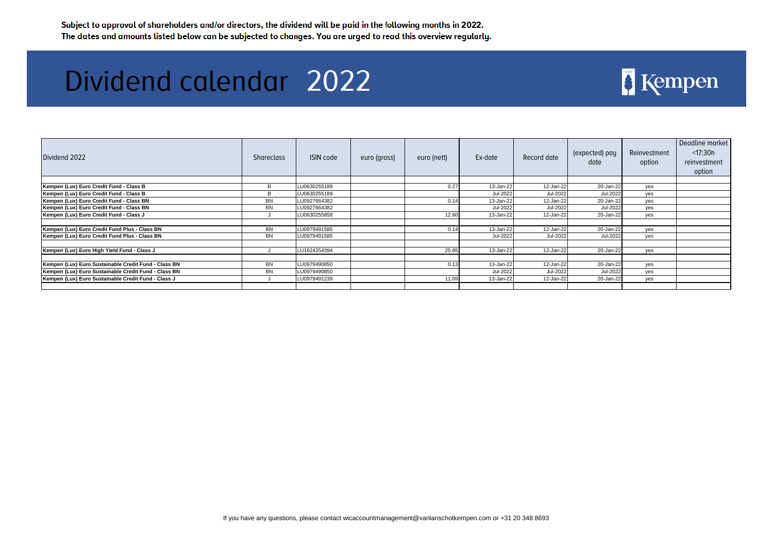| Dividend 2022                                        | <b>Shareclass</b> | ISIN code    | euro (gross) | euro (nett) | Ex-date   | Record date | (expected) pay<br>date | Reinvestment<br>option | Deadline market<br>$<$ 17:30h<br>reinvestment<br>option |
|------------------------------------------------------|-------------------|--------------|--------------|-------------|-----------|-------------|------------------------|------------------------|---------------------------------------------------------|
|                                                      |                   |              |              |             |           |             |                        |                        |                                                         |
| Kempen (Lux) Euro Credit Fund - Class B              | B                 | LU0630255189 |              | 0.27        | 13-Jan-22 | 12-Jan-22   | 20-Jan-22              | yes                    |                                                         |
| Kempen (Lux) Euro Credit Fund - Class B              | B                 | LU0630255189 |              |             | Jul-2022  | Jul-2022    | Jul-2022               | yes                    |                                                         |
| Kempen (Lux) Euro Credit Fund - Class BN             | BN                | LU0927664382 |              | 0.14        | 13-Jan-22 | 12-Jan-22   | 20-Jan-22              | yes                    |                                                         |
| Kempen (Lux) Euro Credit Fund - Class BN             | <b>BN</b>         | LU0927664382 |              |             | Jul-2022  | Jul-2022    | Jul-2022               | yes                    |                                                         |
| Kempen (Lux) Euro Credit Fund - Class J              |                   | LU0630255858 |              | 12.60       | 13-Jan-22 | 12-Jan-22   | 20-Jan-22              | yes                    |                                                         |
|                                                      |                   |              |              |             |           |             |                        |                        |                                                         |
| Kempen (Lux) Euro Credit Fund Plus - Class BN        | BN                | LU0979491585 |              | 0.14        | 13-Jan-22 | 12-Jan-22   | 20-Jan-22              | yes                    |                                                         |
| Kempen (Lux) Euro Credit Fund Plus - Class BN        | <b>BN</b>         | LU0979491585 |              |             | Jul-2022  | Jul-2022    | Jul-2022               | yes                    |                                                         |
|                                                      |                   |              |              |             |           |             |                        |                        |                                                         |
| Kempen (Lux) Euro High Yield Fund - Class J          |                   | LU1624254394 |              | 25.85       | 13-Jan-22 | 12-Jan-22   | 20-Jan-22              | yes                    |                                                         |
|                                                      |                   |              |              |             |           |             |                        |                        |                                                         |
| Kempen (Lux) Euro Sustainable Credit Fund - Class BN | BN                | LU0979490850 |              | 0.13        | 13-Jan-22 | 12-Jan-22   | 20-Jan-22              | yes                    |                                                         |
| Kempen (Lux) Euro Sustainable Credit Fund - Class BN | <b>BN</b>         | LU0979490850 |              |             | Jul-2022  | Jul-2022    | Jul-2022               | yes                    |                                                         |
| Kempen (Lux) Euro Sustainable Credit Fund - Class J  |                   | LU0979491239 |              | 11.09       | 13-Jan-22 | 12-Jan-22   | 20-Jan-22              | yes                    |                                                         |
|                                                      |                   |              |              |             |           |             |                        |                        |                                                         |

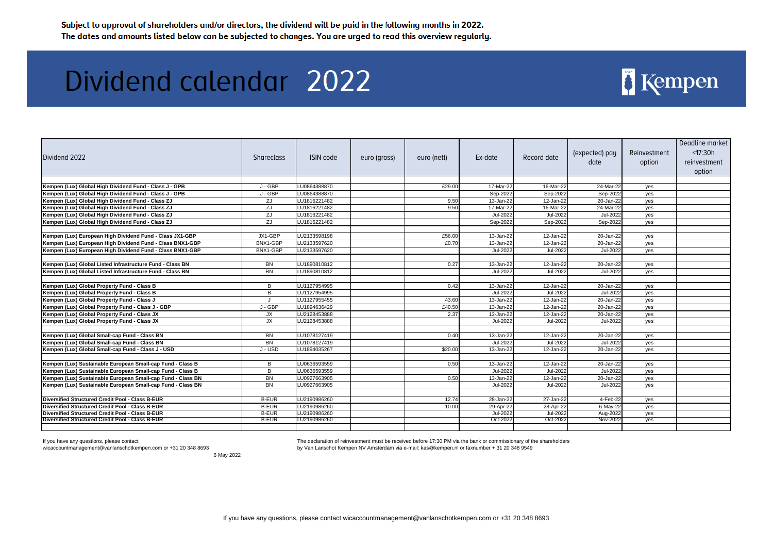## Dividend calendar 2022

| Dividend 2022                                               | <b>Shareclass</b> | <b>ISIN</b> code | euro (gross) | euro (nett) | Ex-date       | Record date | (expected) pay<br>date | Reinvestment<br>option | Deadline market<br>< 17:30h<br>reinvestment<br>option |
|-------------------------------------------------------------|-------------------|------------------|--------------|-------------|---------------|-------------|------------------------|------------------------|-------------------------------------------------------|
|                                                             |                   |                  |              |             |               |             |                        |                        |                                                       |
| Kempen (Lux) Global High Dividend Fund - Class J - GPB      | J - GBP           | LU0864388870     |              | £29.00      | 17-Mar-22     | 16-Mar-22   | 24-Mar-22              | yes                    |                                                       |
| Kempen (Lux) Global High Dividend Fund - Class J - GPB      | J - GBP           | LU0864388870     |              |             | Sep-2022      | Sep-2022    | Sep-2022               | yes                    |                                                       |
| Kempen (Lux) Global High Dividend Fund - Class ZJ           | ZJ                | LU1816221482     |              | 9.50        | 13-Jan-22     | 12-Jan-22   | $20 - Jan-22$          | yes                    |                                                       |
| Kempen (Lux) Global High Dividend Fund - Class ZJ           | ZJ                | LU1816221482     |              | 9.50        | 17-Mar-22     | 16-Mar-22   | 24-Mar-22              | yes                    |                                                       |
| Kempen (Lux) Global High Dividend Fund - Class ZJ           | ZJ                | LU1816221482     |              |             | Jul-2022      | Jul-2022    | Jul-2022               | yes                    |                                                       |
| Kempen (Lux) Global High Dividend Fund - Class ZJ           | ZJ                | LU1816221482     |              |             | Sep-2022      | Sep-2022    | Sep-2022               | yes                    |                                                       |
|                                                             |                   |                  |              |             |               |             |                        |                        |                                                       |
| Kempen (Lux) European High Dividend Fund - Class JX1-GBP    | JX1-GBP           | LU2133598198     |              | £56.00      | 13-Jan-22     | 12-Jan-22   | 20-Jan-22              | yes                    |                                                       |
| Kempen (Lux) European High Dividend Fund - Class BNX1-GBP   | BNX1-GBP          | LU2133597620     |              | £0.70       | 13-Jan-22     | 12-Jan-22   | 20-Jan-22              | yes                    |                                                       |
| Kempen (Lux) European High Dividend Fund - Class BNX1-GBP   | BNX1-GBP          | LU2133597620     |              |             | Jul-2022      | Jul-2022    | Jul-2022               | yes                    |                                                       |
|                                                             |                   |                  |              |             |               |             |                        |                        |                                                       |
| Kempen (Lux) Global Listed Infrastructure Fund - Class BN   | <b>BN</b>         | LU1890810812     |              | 0.27        | $13 - Jan-22$ | 12-Jan-22   | $20 - Jan-22$          | yes                    |                                                       |
| Kempen (Lux) Global Listed Infrastructure Fund - Class BN   | BN                | LU1890810812     |              |             | Jul-2022      | Jul-2022    | Jul-2022               | yes                    |                                                       |
|                                                             |                   |                  |              |             |               |             |                        |                        |                                                       |
| Kempen (Lux) Global Property Fund - Class B                 | B                 | LU1127954995     |              | 0.42        | 13-Jan-22     | 12-Jan-22   | 20-Jan-22              | yes                    |                                                       |
| Kempen (Lux) Global Property Fund - Class B                 | B                 | LU1127954995     |              |             | Jul-2022      | Jul-2022    | Jul-2022               | yes                    |                                                       |
| Kempen (Lux) Global Property Fund - Class J                 | J                 | LU1127955455     |              | 43.60       | 13-Jan-22     | 12-Jan-22   | 20-Jan-22              | yes                    |                                                       |
| Kempen (Lux) Global Property Fund - Class J - GBP           | J - GBP           | LU1894636429     |              | £40.50      | 13-Jan-22     | 12-Jan-22   | 20-Jan-22              | yes                    |                                                       |
| Kempen (Lux) Global Property Fund - Class JX                | JX                | LU2128453888     |              | 2.37        | 13-Jan-22     | 12-Jan-22   | $20 - Jan-22$          | yes                    |                                                       |
| Kempen (Lux) Global Property Fund - Class JX                | JX                | LU2128453888     |              |             | Jul-2022      | Jul-2022    | Jul-2022               | yes                    |                                                       |
|                                                             |                   |                  |              |             |               |             |                        |                        |                                                       |
| Kempen (Lux) Global Small-cap Fund - Class BN               | <b>BN</b>         | LU1078127419     |              | 0.40        | $13 - Jan-22$ | 12-Jan-22   | 20-Jan-22              | yes                    |                                                       |
| Kempen (Lux) Global Small-cap Fund - Class BN               | <b>BN</b>         | LU1078127419     |              |             | Jul-2022      | Jul-2022    | Jul-2022               | yes                    |                                                       |
| Kempen (Lux) Global Small-cap Fund - Class J - USD          | J - USD           | LU1894035267     |              | \$20.00     | 13-Jan-22     | 12-Jan-22   | 20-Jan-22              | yes                    |                                                       |
|                                                             |                   |                  |              |             |               |             |                        |                        |                                                       |
| Kempen (Lux) Sustainable European Small-cap Fund - Class B  | B                 | LU0636593559     |              | 0.50        | 13-Jan-22     | 12-Jan-22   | 20-Jan-22              | yes                    |                                                       |
| Kempen (Lux) Sustainable European Small-cap Fund - Class B  | B                 | LU0636593559     |              |             | Jul-2022      | Jul-2022    | Jul-2022               | yes                    |                                                       |
| Kempen (Lux) Sustainable European Small-cap Fund - Class BN | <b>BN</b>         | LU0927663905     |              | 0.50        | 13-Jan-22     | 12-Jan-22   | 20-Jan-22              | yes                    |                                                       |
| Kempen (Lux) Sustainable European Small-cap Fund - Class BN | <b>BN</b>         | LU0927663905     |              |             | Jul-2022      | Jul-2022    | Jul-2022               | yes                    |                                                       |
|                                                             |                   |                  |              |             |               |             |                        |                        |                                                       |
| Diversified Structured Credit Pool - Class B-EUR            | <b>B-EUR</b>      | LU2190986260     |              | 12.74       | 28-Jan-22     | 27-Jan-22   | 4-Feb-22               | yes                    |                                                       |
| Diversified Structured Credit Pool - Class B-EUR            | <b>B-EUR</b>      | LU2190986260     |              | 10.00       | 29-Apr-22     | 28-Apr-22   | 6-May-22               | yes                    |                                                       |
| Diversified Structured Credit Pool - Class B-EUR            | <b>B-EUR</b>      | LU2190986260     |              |             | Jul-2022      | Jul-2022    | Aug-2022               | yes                    |                                                       |
| Diversified Structured Credit Pool - Class B-EUR            | <b>B-EUR</b>      | LU2190986260     |              |             | Oct-2022      | Oct-2022    | Nov-2022               | yes                    |                                                       |
|                                                             |                   |                  |              |             |               |             |                        |                        |                                                       |

If you have any questions, please contact

wicaccountmanagement@vanlanschotkempen.com or +31 20 348 8693

6 May 2022

[The declaration of reinv](mailto:kas@kempen.nl)estment must be received before 17:30 PM via the bank or commissionary of the shareholders [by Van Lanschot Kemp](mailto:kas@kempen.nl)en NV Amsterdam via e-mail: kas@kempen.nl or faxnumber + 31 20 348 9549

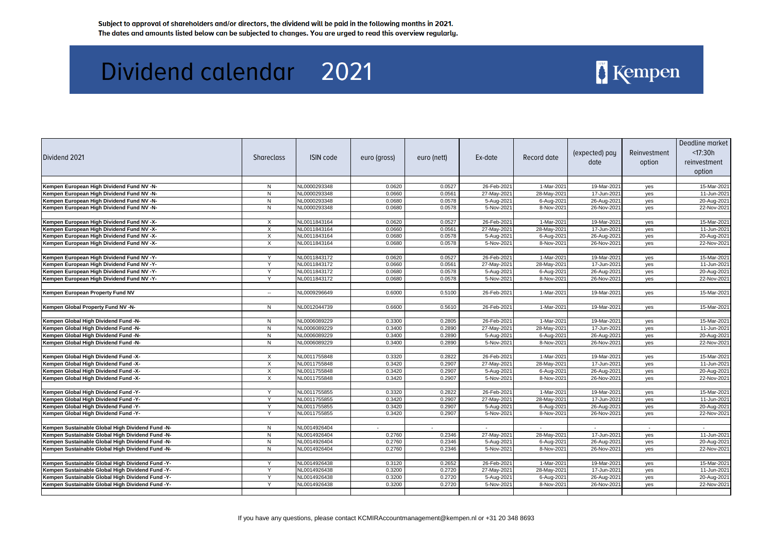### Dividend calendar 2021

| Dividend 2021                                    | Shareclass   | <b>ISIN code</b> | euro (gross) | euro (nett) | Ex-date     | Record date | (expected) pay<br>date | Reinvestment<br>option | Deadline market<br>< 17:30h<br>reinvestment<br>option |
|--------------------------------------------------|--------------|------------------|--------------|-------------|-------------|-------------|------------------------|------------------------|-------------------------------------------------------|
|                                                  |              |                  |              |             |             |             |                        |                        |                                                       |
| Kempen European High Dividend Fund NV -N-        | N            | NL0000293348     | 0.0620       | 0.0527      | 26-Feb-2021 | 1-Mar-2021  | 19-Mar-2021            | yes                    | 15-Mar-2021                                           |
| Kempen European High Dividend Fund NV -N-        | N            | NL0000293348     | 0.0660       | 0.0561      | 27-May-2021 | 28-May-2021 | 17-Jun-2021            | yes                    | 11-Jun-2021                                           |
| Kempen European High Dividend Fund NV -N-        | N            | NL0000293348     | 0.0680       | 0.0578      | 5-Aug-2021  | 6-Aug-2021  | 26-Aug-2021            | yes                    | 20-Aug-2021                                           |
| Kempen European High Dividend Fund NV -N-        | N            | NL0000293348     | 0.0680       | 0.0578      | 5-Nov-2021  | 8-Nov-2021  | 26-Nov-2021            | yes                    | 22-Nov-2021                                           |
| Kempen European High Dividend Fund NV -X-        | $\times$     | NL0011843164     | 0.0620       | 0.0527      | 26-Feb-2021 | 1-Mar-2021  | 19-Mar-2021            |                        | 15-Mar-2021                                           |
| Kempen European High Dividend Fund NV -X-        | X            | NL0011843164     | 0.0660       | 0.0561      | 27-May-2021 | 28-May-2021 | 17-Jun-2021            | yes                    | 11-Jun-2021                                           |
| Kempen European High Dividend Fund NV -X-        | $\times$     | NL0011843164     | 0.0680       | 0.0578      | 5-Aug-2021  | 6-Aug-2021  | 26-Aug-2021            | yes                    | 20-Aug-2021                                           |
| Kempen European High Dividend Fund NV -X-        | $\times$     | NL0011843164     | 0.0680       | 0.0578      | 5-Nov-2021  | 8-Nov-2021  | 26-Nov-2021            | yes<br>yes             | 22-Nov-2021                                           |
|                                                  |              |                  |              |             |             |             |                        |                        |                                                       |
| Kempen European High Dividend Fund NV -Y-        | Y            | NL0011843172     | 0.0620       | 0.0527      | 26-Feb-2021 | 1-Mar-2021  | 19-Mar-2021            | yes                    | 15-Mar-2021                                           |
| Kempen European High Dividend Fund NV -Y-        | $\checkmark$ | NL0011843172     | 0.0660       | 0.0561      | 27-May-2021 | 28-May-2021 | 17-Jun-2021            | yes                    | 11-Jun-2021                                           |
| Kempen European High Dividend Fund NV -Y-        | Y            | NL0011843172     | 0.0680       | 0.0578      | 5-Aug-2021  | 6-Aug-2021  | 26-Aug-2021            | yes                    | 20-Aug-2021                                           |
| Kempen European High Dividend Fund NV -Y-        | Y            | NL0011843172     | 0.0680       | 0.0578      | 5-Nov-2021  | 8-Nov-2021  | 26-Nov-2021            | yes                    | 22-Nov-2021                                           |
|                                                  |              |                  |              |             |             |             |                        |                        |                                                       |
| Kempen European Property Fund NV                 | $\sim$       | NL0009296649     | 0.6000       | 0.5100      | 26-Feb-2021 | 1-Mar-2021  | 19-Mar-2021            | yes                    | 15-Mar-2021                                           |
|                                                  |              |                  |              |             |             |             |                        |                        |                                                       |
| Kempen Global Property Fund NV -N-               | N            | NL0012044739     | 0.6600       | 0.5610      | 26-Feb-2021 | 1-Mar-2021  | 19-Mar-2021            | yes                    | 15-Mar-2021                                           |
| Kempen Global High Dividend Fund -N-             | N            | NL0006089229     | 0.3300       | 0.2805      | 26-Feb-2021 | 1-Mar-2021  | 19-Mar-2021            | yes                    | 15-Mar-2021                                           |
| Kempen Global High Dividend Fund -N-             | N            | NL0006089229     | 0.3400       | 0.2890      | 27-May-2021 | 28-May-2021 | 17-Jun-2021            | yes                    | 11-Jun-2021                                           |
| Kempen Global High Dividend Fund -N-             | N            | NL0006089229     | 0.3400       | 0.2890      | 5-Aug-2021  | 6-Aug-2021  | 26-Aug-2021            | yes                    | 20-Aug-2021                                           |
| Kempen Global High Dividend Fund -N-             | N            | NL0006089229     | 0.3400       | 0.2890      | 5-Nov-2021  | 8-Nov-2021  | 26-Nov-2021            | yes                    | 22-Nov-2021                                           |
|                                                  |              |                  |              |             |             |             |                        |                        |                                                       |
| Kempen Global High Dividend Fund -X-             | X            | NL0011755848     | 0.3320       | 0.2822      | 26-Feb-2021 | 1-Mar-2021  | 19-Mar-2021            | yes                    | 15-Mar-2021                                           |
| Kempen Global High Dividend Fund -X-             | X            | NL0011755848     | 0.3420       | 0.2907      | 27-May-2021 | 28-May-2021 | 17-Jun-2021            | yes                    | 11-Jun-2021                                           |
| Kempen Global High Dividend Fund -X-             | $\times$     | NL0011755848     | 0.3420       | 0.2907      | 5-Aug-2021  | 6-Aug-2021  | 26-Aug-2021            | yes                    | 20-Aug-2021                                           |
| Kempen Global High Dividend Fund -X-             | X            | NL0011755848     | 0.3420       | 0.2907      | 5-Nov-2021  | 8-Nov-2021  | 26-Nov-2021            | yes                    | 22-Nov-2021                                           |
|                                                  |              |                  |              |             |             |             |                        |                        |                                                       |
| Kempen Global High Dividend Fund -Y-             | Y            | NL0011755855     | 0.3320       | 0.2822      | 26-Feb-2021 | 1-Mar-2021  | 19-Mar-2021            | yes                    | 15-Mar-2021                                           |
| Kempen Global High Dividend Fund -Y-             | Y            | NL0011755855     | 0.3420       | 0.2907      | 27-May-2021 | 28-May-2021 | 17-Jun-2021            | yes                    | 11-Jun-2021                                           |
| Kempen Global High Dividend Fund -Y-             | $\checkmark$ | NL0011755855     | 0.3420       | 0.2907      | 5-Aug-2021  | 6-Aug-2021  | 26-Aug-2021            | yes                    | 20-Aug-2021                                           |
| Kempen Global High Dividend Fund -Y-             | Y            | NL0011755855     | 0.3420       | 0.2907      | 5-Nov-2021  | 8-Nov-2021  | 26-Nov-2021            | yes                    | 22-Nov-2021                                           |
| Kempen Sustainable Global High Dividend Fund -N- | N.           | NL0014926404     |              |             |             |             |                        |                        |                                                       |
| Kempen Sustainable Global High Dividend Fund -N- | N            | NL0014926404     | 0.2760       | 0.2346      | 27-May-2021 | 28-May-2021 | 17-Jun-2021            | yes                    | 11-Jun-2021                                           |
| Kempen Sustainable Global High Dividend Fund -N- | N            | NL0014926404     | 0.2760       | 0.2346      | 5-Aug-2021  | 6-Aug-2021  | 26-Aug-2021            | yes                    | 20-Aug-2021                                           |
| Kempen Sustainable Global High Dividend Fund -N- | N            | NL0014926404     | 0.2760       | 0.2346      | 5-Nov-2021  | 8-Nov-2021  | 26-Nov-2021            | yes                    | 22-Nov-2021                                           |
|                                                  |              |                  |              |             |             |             |                        |                        |                                                       |
| Kempen Sustainable Global High Dividend Fund -Y- | $\checkmark$ | NL0014926438     | 0.3120       | 0.2652      | 26-Feb-2021 | 1-Mar-2021  | 19-Mar-2021            | yes                    | 15-Mar-2021                                           |
| Kempen Sustainable Global High Dividend Fund -Y- | Y            | NL0014926438     | 0.3200       | 0.2720      | 27-May-2021 | 28-May-2021 | 17-Jun-2021            | yes                    | 11-Jun-2021                                           |
| Kempen Sustainable Global High Dividend Fund -Y- | Y            | NL0014926438     | 0.3200       | 0.2720      | 5-Aug-2021  | 6-Aug-2021  | 26-Aug-2021            | yes                    | 20-Aug-2021                                           |
| Kempen Sustainable Global High Dividend Fund -Y- | Y            | NL0014926438     | 0.3200       | 0.2720      | 5-Nov-2021  | 8-Nov-2021  | 26-Nov-2021            | yes                    | 22-Nov-2021                                           |
|                                                  |              |                  |              |             |             |             |                        |                        |                                                       |

### Kempen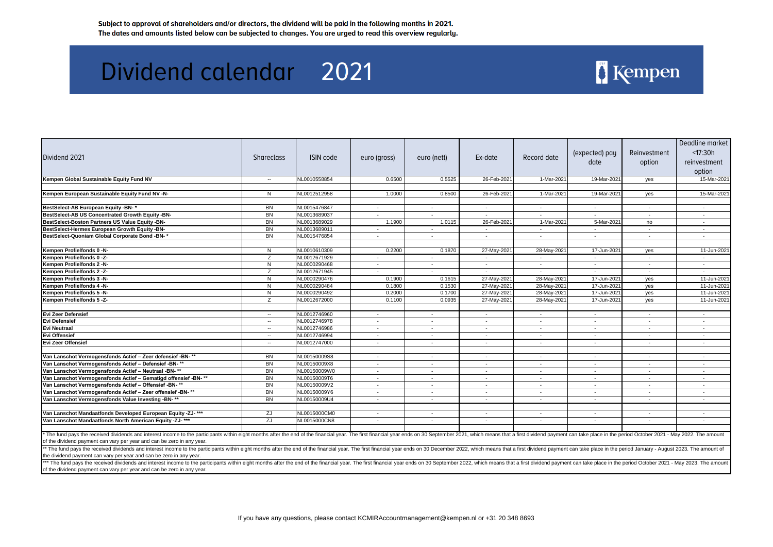| Dividend 2021                                                                                                                                                                                                                                                                                                                                                                                                                                                                                                                            | <b>Shareclass</b> | <b>ISIN code</b> | euro (gross) | euro (nett) | Ex-date     | Record date    | (expected) pay<br>date | Reinvestment<br>option | Deadline market<br>< 17:30h<br>reinvestment<br>option |
|------------------------------------------------------------------------------------------------------------------------------------------------------------------------------------------------------------------------------------------------------------------------------------------------------------------------------------------------------------------------------------------------------------------------------------------------------------------------------------------------------------------------------------------|-------------------|------------------|--------------|-------------|-------------|----------------|------------------------|------------------------|-------------------------------------------------------|
| Kempen Global Sustainable Equity Fund NV                                                                                                                                                                                                                                                                                                                                                                                                                                                                                                 | $\sim$            | NL0010558854     | 0.6500       | 0.5525      | 26-Feb-2021 | 1-Mar-2021     | 19-Mar-2021            | yes                    | 15-Mar-2021                                           |
|                                                                                                                                                                                                                                                                                                                                                                                                                                                                                                                                          |                   |                  |              |             |             |                |                        |                        |                                                       |
| Kempen European Sustainable Equity Fund NV -N-                                                                                                                                                                                                                                                                                                                                                                                                                                                                                           | N                 | NL0012512958     | 1.0000       | 0.8500      | 26-Feb-2021 | 1-Mar-2021     | 19-Mar-2021            | yes                    | 15-Mar-2021                                           |
| BestSelect-AB European Equity -BN-*                                                                                                                                                                                                                                                                                                                                                                                                                                                                                                      | BN                | NL0015476847     | $\sim$       | $\sim$      | $\sim$      | $\sim$         | $\sim$                 | $\sim$                 | $\sim$                                                |
| BestSelect-AB US Concentrated Growth Equity -BN-                                                                                                                                                                                                                                                                                                                                                                                                                                                                                         | <b>BN</b>         | NL0013689037     |              | $\sim$      | $\sim$      | $\mathbf{r}$   | $\sim$                 | $\sim$                 | $\sim$                                                |
| BestSelect-Boston Partners US Value Equity -BN-                                                                                                                                                                                                                                                                                                                                                                                                                                                                                          | <b>BN</b>         | NL0013689029     | 1.1900       | 1.0115      | 26-Feb-2021 | 1-Mar-2021     | 5-Mar-2021             | no                     |                                                       |
| BestSelect-Hermes European Growth Equity -BN-                                                                                                                                                                                                                                                                                                                                                                                                                                                                                            | BN                | NL0013689011     | $\sim$       | $\sim$      | $\sim$      | $\sim$         | $\sim$                 | $\sim$                 | $\sim$                                                |
| BestSelect-Quoniam Global Corporate Bond -BN- *                                                                                                                                                                                                                                                                                                                                                                                                                                                                                          | <b>BN</b>         | NL0015476854     | $\sim$       | $\sim$      | $\sim$      | $\sim$         | $\sim$                 | $\sim$                 | $\sim$                                                |
|                                                                                                                                                                                                                                                                                                                                                                                                                                                                                                                                          |                   |                  |              |             |             |                |                        |                        |                                                       |
| Kempen Profielfonds 0 -N-                                                                                                                                                                                                                                                                                                                                                                                                                                                                                                                | N                 | NL0010610309     | 0.2200       | 0.1870      | 27-May-2021 | 28-May-2021    | 17-Jun-2021            | yes                    | 11-Jun-2021                                           |
| Kempen Profielfonds 0-Z-                                                                                                                                                                                                                                                                                                                                                                                                                                                                                                                 | Z                 | NL0012671929     |              |             |             |                |                        |                        |                                                       |
| Kempen Profielfonds 2 -N-                                                                                                                                                                                                                                                                                                                                                                                                                                                                                                                | ${\sf N}$         | NL0000290468     |              |             | $\sim$      | $\sim$         | $\sim$                 | $\sim$                 |                                                       |
| Kempen Profielfonds 2 -Z-                                                                                                                                                                                                                                                                                                                                                                                                                                                                                                                | Z                 | NL0012671945     | $\sim$       | $\sim$      | $\sim$      | $\sim$         | $\sim$                 | $\sim$                 |                                                       |
| <b>Kempen Profielfonds 3 -N-</b>                                                                                                                                                                                                                                                                                                                                                                                                                                                                                                         | N                 | NL0000290476     | 0.1900       | 0.1615      | 27-May-2021 | 28-May-2021    | 17-Jun-2021            | yes                    | 11-Jun-2021                                           |
| Kempen Profielfonds 4 -N-                                                                                                                                                                                                                                                                                                                                                                                                                                                                                                                | $\overline{N}$    | NL0000290484     | 0.1800       | 0.1530      | 27-May-2021 | 28-May-2021    | 17-Jun-2021            | yes                    | 11-Jun-2021                                           |
| Kempen Profielfonds 5 -N-                                                                                                                                                                                                                                                                                                                                                                                                                                                                                                                | N                 | NL0000290492     | 0.2000       | 0.1700      | 27-May-2021 | 28-May-2021    | 17-Jun-2021            | yes                    | 11-Jun-2021                                           |
| Kempen Profielfonds 5 -Z-                                                                                                                                                                                                                                                                                                                                                                                                                                                                                                                | Z                 | NL0012672000     | 0.1100       | 0.0935      | 27-May-2021 | 28-May-2021    | 17-Jun-2021            | yes                    | 11-Jun-2021                                           |
| Evi Zeer Defensief                                                                                                                                                                                                                                                                                                                                                                                                                                                                                                                       | $\sim$            | NL0012746960     | $\sim$       | $\sim$      | $\sim$      | $\sim$         | $\sim$                 | $\sim$                 | $\sim$                                                |
| <b>Evi Defensief</b>                                                                                                                                                                                                                                                                                                                                                                                                                                                                                                                     | $\sim$            | NL0012746978     | $\sim$       | $\sim$      | $\sim$      | $\sim$         | $\sim$                 | $\sim$                 |                                                       |
| <b>Evi Neutraal</b>                                                                                                                                                                                                                                                                                                                                                                                                                                                                                                                      | $\sim$            | NL0012746986     | $\sim$       | $\sim$      | $\sim$      | $\sim$         | $\sim$                 | $\sim$                 | $\sim$                                                |
| <b>Evi Offensief</b>                                                                                                                                                                                                                                                                                                                                                                                                                                                                                                                     | $\mathbf{u}$      | NL0012746994     |              | $\sim$      |             | $\sim$         |                        |                        |                                                       |
| Evi Zeer Offensief                                                                                                                                                                                                                                                                                                                                                                                                                                                                                                                       | $\mathbf{u}$      | NL0012747000     |              |             |             |                |                        |                        |                                                       |
| Van Lanschot Vermogensfonds Actief - Zeer defensief -BN-**                                                                                                                                                                                                                                                                                                                                                                                                                                                                               | <b>BN</b>         | NL00150009S8     | $\sim$       | $\sim$      | $\sim$      | $\sim$         | $\sim$                 | $\sim$                 | $\sim$                                                |
| Van Lanschot Vermogensfonds Actief - Defensief -BN-**                                                                                                                                                                                                                                                                                                                                                                                                                                                                                    | BN                | NL00150009X8     | $\sim$       | $\sim$      | $\sim$      | $\sim$         | $\sim$                 | $\sim$                 | $\sim$                                                |
| Van Lanschot Vermogensfonds Actief - Neutraal -BN-**                                                                                                                                                                                                                                                                                                                                                                                                                                                                                     | <b>BN</b>         | NL00150009W0     | $\sim$       | $\sim$      | $\sim$      | $\sim$         |                        |                        | $\sim$                                                |
| Van Lanschot Vermogensfonds Actief - Gematigd offensief -BN-**                                                                                                                                                                                                                                                                                                                                                                                                                                                                           | BN                | NL00150009T6     | $\sim$       | $\sim$      | $\sim$      | $\sim$         | $\sim$                 | $\sim$                 | $\sim$                                                |
| Van Lanschot Vermogensfonds Actief - Offensief -BN-**                                                                                                                                                                                                                                                                                                                                                                                                                                                                                    | BN                | NL00150009V2     | $\sim$       | $\sim$      | $\sim$      | $\sim$         | $\sim$                 |                        |                                                       |
| Van Lanschot Vermogensfonds Actief - Zeer offensief -BN-**                                                                                                                                                                                                                                                                                                                                                                                                                                                                               | BN                | NL00150009Y6     | $\sim$       | $\sim$      | $\sim$      | $\sim$         | $\sim$                 | $\sim$                 | $\sim$                                                |
| Van Lanschot Vermogensfonds Value Investing -BN-**                                                                                                                                                                                                                                                                                                                                                                                                                                                                                       | <b>BN</b>         | NL00150009U4     | $\sim$       | $\sim$      | $\sim$      | $\sim$         | $\sim$                 | $\sim$                 | $\sim$                                                |
| Van Lanschot Mandaatfonds Developed European Equity -ZJ-***                                                                                                                                                                                                                                                                                                                                                                                                                                                                              | ZJ                | NL0015000CM0     | $\sim$       | $\sim$      | $\sim$      | $\blacksquare$ | $\sim$                 |                        |                                                       |
| Van Lanschot Mandaatfonds North American Equity -ZJ-***                                                                                                                                                                                                                                                                                                                                                                                                                                                                                  | ZJ                | NL0015000CN8     |              | $\sim$      | $\sim$      | $\sim$         |                        | $\sim$                 |                                                       |
| * The fund pays the received dividends and interest income to the participants within eight months after the end of the financial year. The first financial year ends on 30 September 2021, which means that a first dividend<br>of the dividend payment can vary per year and can be zero in any year.<br>** The fund pays the received dividends and interest income to the participants within eight months after the end of the financial year. The first financial year ends on 30 December 2022, which means that a first dividend |                   |                  |              |             |             |                |                        |                        |                                                       |
| the dividend payment can vary per year and can be zero in any year.<br>*** The fund pays the received dividends and interest income to the participants within eight months after the end of the financial year. The first financial year ends on 30 September 2022, which means that a first dividen<br>of the dividend payment can vary per year and can be zero in any year.                                                                                                                                                          |                   |                  |              |             |             |                |                        |                        |                                                       |

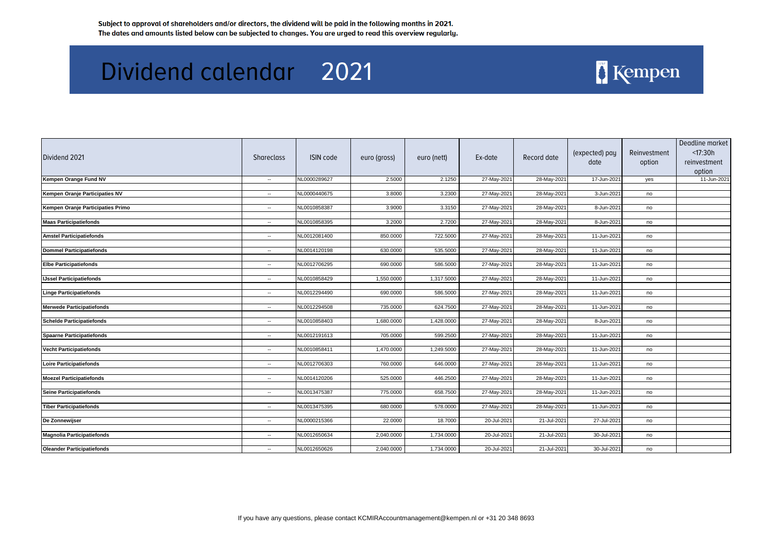| NL0000289627<br>2.5000<br>2.1250<br>27-May-2021<br>28-May-2021<br>17-Jun-2021<br>Kempen Orange Fund NV<br>yes<br>$\sim$<br>NL0000440675<br>3.8000<br>3.2300<br>27-May-2021<br>28-May-2021<br>3-Jun-2021<br>Kempen Oranje Participaties NV<br>no<br>$\sim$<br>NL0010858387<br>Kempen Oranje Participaties Primo<br>3.9000<br>3.3150<br>27-May-2021<br>28-May-2021<br>8-Jun-2021<br>no<br>$\sim$<br>NL0010858395<br><b>Maas Participatiefonds</b><br>3.2000<br>2.7200<br>27-May-2021<br>28-May-2021<br>8-Jun-2021<br>$\sim$<br>no<br>722.5000<br><b>Amstel Participatiefonds</b><br>NL0012081400<br>850.0000<br>27-May-2021<br>28-May-2021<br>11-Jun-2021<br>no<br>$\sim$<br>535.5000<br><b>Dommel Participatiefonds</b><br>NL0014120198<br>630.0000<br>27-May-2021<br>28-May-2021<br>11-Jun-2021<br>$\sim$<br>no<br>NL0012706295<br>690.0000<br>586.5000<br>27-May-2021<br>28-May-2021<br>11-Jun-2021<br><b>Elbe Participatiefonds</b><br>no<br>$\sim$<br>NL0010858429<br>1,550.0000<br>1,317.5000<br>27-May-2021<br>28-May-2021<br>11-Jun-2021<br><b>IJssel Participatiefonds</b><br>no<br>$\sim$<br>NL0012294490<br>690.0000<br>586.5000<br>27-May-2021<br>28-May-2021<br>11-Jun-2021<br><b>Linge Participatiefonds</b><br>no<br>$\sim$<br>NL0012294508<br><b>Merwede Participatiefonds</b><br>735.0000<br>624.7500<br>27-May-2021<br>28-May-2021<br>11-Jun-2021<br>no<br>$\sim$<br>NL0010858403<br><b>Schelde Participatiefonds</b><br>1,680.0000<br>1,428.0000<br>27-May-2021<br>28-May-2021<br>8-Jun-2021<br>$\sim$<br>no<br>705.0000<br>599.2500<br>27-May-2021<br><b>Spaarne Participatiefonds</b><br>NL0012191613<br>28-May-2021<br>11-Jun-2021<br>no<br>$\sim 10$<br>NL0010858411<br>1,249.5000<br><b>Vecht Participatiefonds</b><br>1,470.0000<br>27-May-2021<br>28-May-2021<br>11-Jun-2021<br>no<br>$\sim$<br>NL0012706303<br>760.0000<br>27-May-2021<br>28-May-2021<br>11-Jun-2021<br><b>Loire Participatiefonds</b><br>646.0000<br>no<br>$\sim$<br><b>Moezel Participatiefonds</b><br>NL0014120206<br>525.0000<br>446.2500<br>27-May-2021<br>28-May-2021<br>11-Jun-2021<br>$\sim$<br>no<br>NL0013475387<br>775.0000<br>658.7500<br>27-May-2021<br>28-May-2021<br>11-Jun-2021<br><b>Seine Participatiefonds</b><br>no<br>$\sim$<br>NL0013475395<br><b>Tiber Participatiefonds</b><br>680.0000<br>578.0000<br>27-May-2021<br>28-May-2021<br>11-Jun-2021<br>no<br>$\sim$<br>27-Jul-2021<br>NL0000215366<br>22.0000<br>18.7000<br>20-Jul-2021<br>21-Jul-2021<br>De Zonnewijser<br>$\sim$<br>no<br>NL0012650634<br>2,040.0000<br>1,734.0000<br>20-Jul-2021<br>21-Jul-2021<br>30-Jul-2021<br><b>Magnolia Participatiefonds</b><br>no<br>$\sim$ | Dividend 2021 | Shareclass | ISIN code | euro (gross) | euro (nett) | Ex-date | Record date | (expected) pay<br>date | Reinvestment<br>option | Deadline market<br>< 17:30h<br>reinvestment<br>option |
|------------------------------------------------------------------------------------------------------------------------------------------------------------------------------------------------------------------------------------------------------------------------------------------------------------------------------------------------------------------------------------------------------------------------------------------------------------------------------------------------------------------------------------------------------------------------------------------------------------------------------------------------------------------------------------------------------------------------------------------------------------------------------------------------------------------------------------------------------------------------------------------------------------------------------------------------------------------------------------------------------------------------------------------------------------------------------------------------------------------------------------------------------------------------------------------------------------------------------------------------------------------------------------------------------------------------------------------------------------------------------------------------------------------------------------------------------------------------------------------------------------------------------------------------------------------------------------------------------------------------------------------------------------------------------------------------------------------------------------------------------------------------------------------------------------------------------------------------------------------------------------------------------------------------------------------------------------------------------------------------------------------------------------------------------------------------------------------------------------------------------------------------------------------------------------------------------------------------------------------------------------------------------------------------------------------------------------------------------------------------------------------------------------------------------------------------------------------------------------------------------------------------------------------------------------------------------------------------------------------------------------------------------|---------------|------------|-----------|--------------|-------------|---------|-------------|------------------------|------------------------|-------------------------------------------------------|
|                                                                                                                                                                                                                                                                                                                                                                                                                                                                                                                                                                                                                                                                                                                                                                                                                                                                                                                                                                                                                                                                                                                                                                                                                                                                                                                                                                                                                                                                                                                                                                                                                                                                                                                                                                                                                                                                                                                                                                                                                                                                                                                                                                                                                                                                                                                                                                                                                                                                                                                                                                                                                                                      |               |            |           |              |             |         |             |                        |                        | 11-Jun-2021                                           |
|                                                                                                                                                                                                                                                                                                                                                                                                                                                                                                                                                                                                                                                                                                                                                                                                                                                                                                                                                                                                                                                                                                                                                                                                                                                                                                                                                                                                                                                                                                                                                                                                                                                                                                                                                                                                                                                                                                                                                                                                                                                                                                                                                                                                                                                                                                                                                                                                                                                                                                                                                                                                                                                      |               |            |           |              |             |         |             |                        |                        |                                                       |
|                                                                                                                                                                                                                                                                                                                                                                                                                                                                                                                                                                                                                                                                                                                                                                                                                                                                                                                                                                                                                                                                                                                                                                                                                                                                                                                                                                                                                                                                                                                                                                                                                                                                                                                                                                                                                                                                                                                                                                                                                                                                                                                                                                                                                                                                                                                                                                                                                                                                                                                                                                                                                                                      |               |            |           |              |             |         |             |                        |                        |                                                       |
|                                                                                                                                                                                                                                                                                                                                                                                                                                                                                                                                                                                                                                                                                                                                                                                                                                                                                                                                                                                                                                                                                                                                                                                                                                                                                                                                                                                                                                                                                                                                                                                                                                                                                                                                                                                                                                                                                                                                                                                                                                                                                                                                                                                                                                                                                                                                                                                                                                                                                                                                                                                                                                                      |               |            |           |              |             |         |             |                        |                        |                                                       |
|                                                                                                                                                                                                                                                                                                                                                                                                                                                                                                                                                                                                                                                                                                                                                                                                                                                                                                                                                                                                                                                                                                                                                                                                                                                                                                                                                                                                                                                                                                                                                                                                                                                                                                                                                                                                                                                                                                                                                                                                                                                                                                                                                                                                                                                                                                                                                                                                                                                                                                                                                                                                                                                      |               |            |           |              |             |         |             |                        |                        |                                                       |
|                                                                                                                                                                                                                                                                                                                                                                                                                                                                                                                                                                                                                                                                                                                                                                                                                                                                                                                                                                                                                                                                                                                                                                                                                                                                                                                                                                                                                                                                                                                                                                                                                                                                                                                                                                                                                                                                                                                                                                                                                                                                                                                                                                                                                                                                                                                                                                                                                                                                                                                                                                                                                                                      |               |            |           |              |             |         |             |                        |                        |                                                       |
|                                                                                                                                                                                                                                                                                                                                                                                                                                                                                                                                                                                                                                                                                                                                                                                                                                                                                                                                                                                                                                                                                                                                                                                                                                                                                                                                                                                                                                                                                                                                                                                                                                                                                                                                                                                                                                                                                                                                                                                                                                                                                                                                                                                                                                                                                                                                                                                                                                                                                                                                                                                                                                                      |               |            |           |              |             |         |             |                        |                        |                                                       |
|                                                                                                                                                                                                                                                                                                                                                                                                                                                                                                                                                                                                                                                                                                                                                                                                                                                                                                                                                                                                                                                                                                                                                                                                                                                                                                                                                                                                                                                                                                                                                                                                                                                                                                                                                                                                                                                                                                                                                                                                                                                                                                                                                                                                                                                                                                                                                                                                                                                                                                                                                                                                                                                      |               |            |           |              |             |         |             |                        |                        |                                                       |
|                                                                                                                                                                                                                                                                                                                                                                                                                                                                                                                                                                                                                                                                                                                                                                                                                                                                                                                                                                                                                                                                                                                                                                                                                                                                                                                                                                                                                                                                                                                                                                                                                                                                                                                                                                                                                                                                                                                                                                                                                                                                                                                                                                                                                                                                                                                                                                                                                                                                                                                                                                                                                                                      |               |            |           |              |             |         |             |                        |                        |                                                       |
|                                                                                                                                                                                                                                                                                                                                                                                                                                                                                                                                                                                                                                                                                                                                                                                                                                                                                                                                                                                                                                                                                                                                                                                                                                                                                                                                                                                                                                                                                                                                                                                                                                                                                                                                                                                                                                                                                                                                                                                                                                                                                                                                                                                                                                                                                                                                                                                                                                                                                                                                                                                                                                                      |               |            |           |              |             |         |             |                        |                        |                                                       |
|                                                                                                                                                                                                                                                                                                                                                                                                                                                                                                                                                                                                                                                                                                                                                                                                                                                                                                                                                                                                                                                                                                                                                                                                                                                                                                                                                                                                                                                                                                                                                                                                                                                                                                                                                                                                                                                                                                                                                                                                                                                                                                                                                                                                                                                                                                                                                                                                                                                                                                                                                                                                                                                      |               |            |           |              |             |         |             |                        |                        |                                                       |
|                                                                                                                                                                                                                                                                                                                                                                                                                                                                                                                                                                                                                                                                                                                                                                                                                                                                                                                                                                                                                                                                                                                                                                                                                                                                                                                                                                                                                                                                                                                                                                                                                                                                                                                                                                                                                                                                                                                                                                                                                                                                                                                                                                                                                                                                                                                                                                                                                                                                                                                                                                                                                                                      |               |            |           |              |             |         |             |                        |                        |                                                       |
|                                                                                                                                                                                                                                                                                                                                                                                                                                                                                                                                                                                                                                                                                                                                                                                                                                                                                                                                                                                                                                                                                                                                                                                                                                                                                                                                                                                                                                                                                                                                                                                                                                                                                                                                                                                                                                                                                                                                                                                                                                                                                                                                                                                                                                                                                                                                                                                                                                                                                                                                                                                                                                                      |               |            |           |              |             |         |             |                        |                        |                                                       |
|                                                                                                                                                                                                                                                                                                                                                                                                                                                                                                                                                                                                                                                                                                                                                                                                                                                                                                                                                                                                                                                                                                                                                                                                                                                                                                                                                                                                                                                                                                                                                                                                                                                                                                                                                                                                                                                                                                                                                                                                                                                                                                                                                                                                                                                                                                                                                                                                                                                                                                                                                                                                                                                      |               |            |           |              |             |         |             |                        |                        |                                                       |
|                                                                                                                                                                                                                                                                                                                                                                                                                                                                                                                                                                                                                                                                                                                                                                                                                                                                                                                                                                                                                                                                                                                                                                                                                                                                                                                                                                                                                                                                                                                                                                                                                                                                                                                                                                                                                                                                                                                                                                                                                                                                                                                                                                                                                                                                                                                                                                                                                                                                                                                                                                                                                                                      |               |            |           |              |             |         |             |                        |                        |                                                       |
|                                                                                                                                                                                                                                                                                                                                                                                                                                                                                                                                                                                                                                                                                                                                                                                                                                                                                                                                                                                                                                                                                                                                                                                                                                                                                                                                                                                                                                                                                                                                                                                                                                                                                                                                                                                                                                                                                                                                                                                                                                                                                                                                                                                                                                                                                                                                                                                                                                                                                                                                                                                                                                                      |               |            |           |              |             |         |             |                        |                        |                                                       |
|                                                                                                                                                                                                                                                                                                                                                                                                                                                                                                                                                                                                                                                                                                                                                                                                                                                                                                                                                                                                                                                                                                                                                                                                                                                                                                                                                                                                                                                                                                                                                                                                                                                                                                                                                                                                                                                                                                                                                                                                                                                                                                                                                                                                                                                                                                                                                                                                                                                                                                                                                                                                                                                      |               |            |           |              |             |         |             |                        |                        |                                                       |
|                                                                                                                                                                                                                                                                                                                                                                                                                                                                                                                                                                                                                                                                                                                                                                                                                                                                                                                                                                                                                                                                                                                                                                                                                                                                                                                                                                                                                                                                                                                                                                                                                                                                                                                                                                                                                                                                                                                                                                                                                                                                                                                                                                                                                                                                                                                                                                                                                                                                                                                                                                                                                                                      |               |            |           |              |             |         |             |                        |                        |                                                       |
|                                                                                                                                                                                                                                                                                                                                                                                                                                                                                                                                                                                                                                                                                                                                                                                                                                                                                                                                                                                                                                                                                                                                                                                                                                                                                                                                                                                                                                                                                                                                                                                                                                                                                                                                                                                                                                                                                                                                                                                                                                                                                                                                                                                                                                                                                                                                                                                                                                                                                                                                                                                                                                                      |               |            |           |              |             |         |             |                        |                        |                                                       |
|                                                                                                                                                                                                                                                                                                                                                                                                                                                                                                                                                                                                                                                                                                                                                                                                                                                                                                                                                                                                                                                                                                                                                                                                                                                                                                                                                                                                                                                                                                                                                                                                                                                                                                                                                                                                                                                                                                                                                                                                                                                                                                                                                                                                                                                                                                                                                                                                                                                                                                                                                                                                                                                      |               |            |           |              |             |         |             |                        |                        |                                                       |
|                                                                                                                                                                                                                                                                                                                                                                                                                                                                                                                                                                                                                                                                                                                                                                                                                                                                                                                                                                                                                                                                                                                                                                                                                                                                                                                                                                                                                                                                                                                                                                                                                                                                                                                                                                                                                                                                                                                                                                                                                                                                                                                                                                                                                                                                                                                                                                                                                                                                                                                                                                                                                                                      |               |            |           |              |             |         |             |                        |                        |                                                       |
|                                                                                                                                                                                                                                                                                                                                                                                                                                                                                                                                                                                                                                                                                                                                                                                                                                                                                                                                                                                                                                                                                                                                                                                                                                                                                                                                                                                                                                                                                                                                                                                                                                                                                                                                                                                                                                                                                                                                                                                                                                                                                                                                                                                                                                                                                                                                                                                                                                                                                                                                                                                                                                                      |               |            |           |              |             |         |             |                        |                        |                                                       |
|                                                                                                                                                                                                                                                                                                                                                                                                                                                                                                                                                                                                                                                                                                                                                                                                                                                                                                                                                                                                                                                                                                                                                                                                                                                                                                                                                                                                                                                                                                                                                                                                                                                                                                                                                                                                                                                                                                                                                                                                                                                                                                                                                                                                                                                                                                                                                                                                                                                                                                                                                                                                                                                      |               |            |           |              |             |         |             |                        |                        |                                                       |
|                                                                                                                                                                                                                                                                                                                                                                                                                                                                                                                                                                                                                                                                                                                                                                                                                                                                                                                                                                                                                                                                                                                                                                                                                                                                                                                                                                                                                                                                                                                                                                                                                                                                                                                                                                                                                                                                                                                                                                                                                                                                                                                                                                                                                                                                                                                                                                                                                                                                                                                                                                                                                                                      |               |            |           |              |             |         |             |                        |                        |                                                       |
|                                                                                                                                                                                                                                                                                                                                                                                                                                                                                                                                                                                                                                                                                                                                                                                                                                                                                                                                                                                                                                                                                                                                                                                                                                                                                                                                                                                                                                                                                                                                                                                                                                                                                                                                                                                                                                                                                                                                                                                                                                                                                                                                                                                                                                                                                                                                                                                                                                                                                                                                                                                                                                                      |               |            |           |              |             |         |             |                        |                        |                                                       |
|                                                                                                                                                                                                                                                                                                                                                                                                                                                                                                                                                                                                                                                                                                                                                                                                                                                                                                                                                                                                                                                                                                                                                                                                                                                                                                                                                                                                                                                                                                                                                                                                                                                                                                                                                                                                                                                                                                                                                                                                                                                                                                                                                                                                                                                                                                                                                                                                                                                                                                                                                                                                                                                      |               |            |           |              |             |         |             |                        |                        |                                                       |
|                                                                                                                                                                                                                                                                                                                                                                                                                                                                                                                                                                                                                                                                                                                                                                                                                                                                                                                                                                                                                                                                                                                                                                                                                                                                                                                                                                                                                                                                                                                                                                                                                                                                                                                                                                                                                                                                                                                                                                                                                                                                                                                                                                                                                                                                                                                                                                                                                                                                                                                                                                                                                                                      |               |            |           |              |             |         |             |                        |                        |                                                       |
|                                                                                                                                                                                                                                                                                                                                                                                                                                                                                                                                                                                                                                                                                                                                                                                                                                                                                                                                                                                                                                                                                                                                                                                                                                                                                                                                                                                                                                                                                                                                                                                                                                                                                                                                                                                                                                                                                                                                                                                                                                                                                                                                                                                                                                                                                                                                                                                                                                                                                                                                                                                                                                                      |               |            |           |              |             |         |             |                        |                        |                                                       |
|                                                                                                                                                                                                                                                                                                                                                                                                                                                                                                                                                                                                                                                                                                                                                                                                                                                                                                                                                                                                                                                                                                                                                                                                                                                                                                                                                                                                                                                                                                                                                                                                                                                                                                                                                                                                                                                                                                                                                                                                                                                                                                                                                                                                                                                                                                                                                                                                                                                                                                                                                                                                                                                      |               |            |           |              |             |         |             |                        |                        |                                                       |
|                                                                                                                                                                                                                                                                                                                                                                                                                                                                                                                                                                                                                                                                                                                                                                                                                                                                                                                                                                                                                                                                                                                                                                                                                                                                                                                                                                                                                                                                                                                                                                                                                                                                                                                                                                                                                                                                                                                                                                                                                                                                                                                                                                                                                                                                                                                                                                                                                                                                                                                                                                                                                                                      |               |            |           |              |             |         |             |                        |                        |                                                       |
|                                                                                                                                                                                                                                                                                                                                                                                                                                                                                                                                                                                                                                                                                                                                                                                                                                                                                                                                                                                                                                                                                                                                                                                                                                                                                                                                                                                                                                                                                                                                                                                                                                                                                                                                                                                                                                                                                                                                                                                                                                                                                                                                                                                                                                                                                                                                                                                                                                                                                                                                                                                                                                                      |               |            |           |              |             |         |             |                        |                        |                                                       |
|                                                                                                                                                                                                                                                                                                                                                                                                                                                                                                                                                                                                                                                                                                                                                                                                                                                                                                                                                                                                                                                                                                                                                                                                                                                                                                                                                                                                                                                                                                                                                                                                                                                                                                                                                                                                                                                                                                                                                                                                                                                                                                                                                                                                                                                                                                                                                                                                                                                                                                                                                                                                                                                      |               |            |           |              |             |         |             |                        |                        |                                                       |
|                                                                                                                                                                                                                                                                                                                                                                                                                                                                                                                                                                                                                                                                                                                                                                                                                                                                                                                                                                                                                                                                                                                                                                                                                                                                                                                                                                                                                                                                                                                                                                                                                                                                                                                                                                                                                                                                                                                                                                                                                                                                                                                                                                                                                                                                                                                                                                                                                                                                                                                                                                                                                                                      |               |            |           |              |             |         |             |                        |                        |                                                       |
|                                                                                                                                                                                                                                                                                                                                                                                                                                                                                                                                                                                                                                                                                                                                                                                                                                                                                                                                                                                                                                                                                                                                                                                                                                                                                                                                                                                                                                                                                                                                                                                                                                                                                                                                                                                                                                                                                                                                                                                                                                                                                                                                                                                                                                                                                                                                                                                                                                                                                                                                                                                                                                                      |               |            |           |              |             |         |             |                        |                        |                                                       |
| NL0012650626<br>2,040.0000<br>20-Jul-2021<br>30-Jul-2021<br><b>Oleander Participatiefonds</b><br>1,734.0000<br>21-Jul-2021<br>no<br>$\sim$                                                                                                                                                                                                                                                                                                                                                                                                                                                                                                                                                                                                                                                                                                                                                                                                                                                                                                                                                                                                                                                                                                                                                                                                                                                                                                                                                                                                                                                                                                                                                                                                                                                                                                                                                                                                                                                                                                                                                                                                                                                                                                                                                                                                                                                                                                                                                                                                                                                                                                           |               |            |           |              |             |         |             |                        |                        |                                                       |

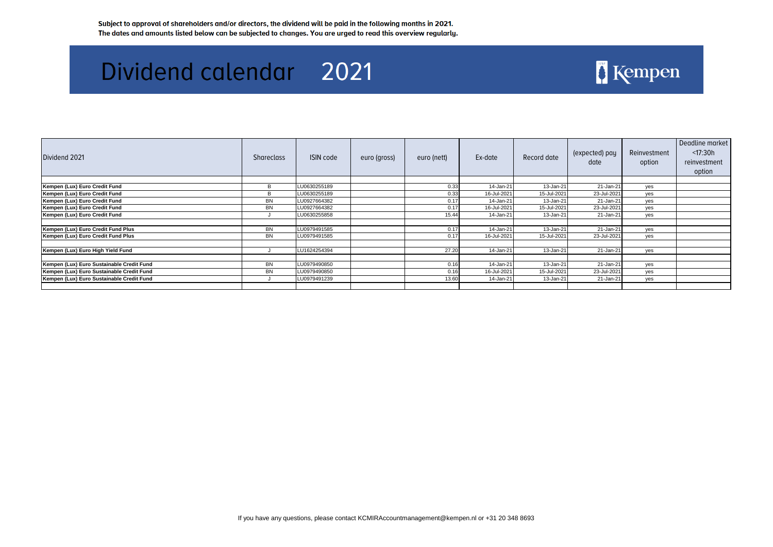| Dividend 2021                             | <b>Shareclass</b> | ISIN code    | euro (gross) | euro (nett) | Ex-date     | Record date | (expected) pay<br>date | Reinvestment<br>option | Deadline market<br>$<$ 17:30 $h$<br>reinvestment<br>option |
|-------------------------------------------|-------------------|--------------|--------------|-------------|-------------|-------------|------------------------|------------------------|------------------------------------------------------------|
|                                           |                   |              |              |             |             |             |                        |                        |                                                            |
| Kempen (Lux) Euro Credit Fund             |                   | LU0630255189 |              | 0.33        | 14-Jan-21   | 13-Jan-21   | 21-Jan-21              | yes                    |                                                            |
| Kempen (Lux) Euro Credit Fund             | B                 | LU0630255189 |              | 0.33        | 16-Jul-2021 | 15-Jul-2021 | 23-Jul-2021            | yes                    |                                                            |
| Kempen (Lux) Euro Credit Fund             | <b>BN</b>         | LU0927664382 |              | 0.17        | 14-Jan-21   | 13-Jan-21   | 21-Jan-21              | yes                    |                                                            |
| Kempen (Lux) Euro Credit Fund             | <b>BN</b>         | LU0927664382 |              | 0.17        | 16-Jul-2021 | 15-Jul-2021 | 23-Jul-2021            | yes                    |                                                            |
| Kempen (Lux) Euro Credit Fund             |                   | LU0630255858 |              | 15.44       | 14-Jan-21   | 13-Jan-21   | 21-Jan-21              | yes                    |                                                            |
| Kempen (Lux) Euro Credit Fund Plus        | <b>BN</b>         | LU0979491585 |              | 0.17        | 14-Jan-21   | 13-Jan-21   | 21-Jan-21              | yes                    |                                                            |
| Kempen (Lux) Euro Credit Fund Plus        | <b>BN</b>         | LU0979491585 |              | 0.17        | 16-Jul-2021 | 15-Jul-2021 | 23-Jul-2021            | yes                    |                                                            |
|                                           |                   |              |              |             |             |             |                        |                        |                                                            |
| Kempen (Lux) Euro High Yield Fund         |                   | LU1624254394 |              | 27.20       | 14-Jan-21   | 13-Jan-21   | 21-Jan-21              | yes                    |                                                            |
|                                           |                   |              |              |             |             |             |                        |                        |                                                            |
| Kempen (Lux) Euro Sustainable Credit Fund | <b>BN</b>         | LU0979490850 |              | 0.16        | 14-Jan-21   | 13-Jan-21   | 21-Jan-21              | yes                    |                                                            |
| Kempen (Lux) Euro Sustainable Credit Fund | BN                | LU0979490850 |              | 0.16        | 16-Jul-2021 | 15-Jul-2021 | 23-Jul-2021            | yes                    |                                                            |
| Kempen (Lux) Euro Sustainable Credit Fund |                   | LU0979491239 |              | 13.60       | 14-Jan-21   | 13-Jan-21   | 21-Jan-21              | yes                    |                                                            |
|                                           |                   |              |              |             |             |             |                        |                        |                                                            |